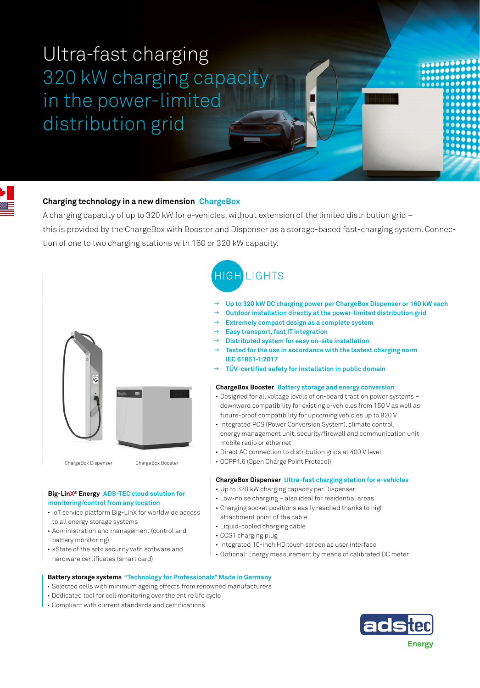# Ultra-fast charging 320 kW charging capacity in the power-limited distribution grid

# **Charging technology in a new dimension ChargeBox**

A charging capacity of up to 320 kW for e-vehicles, without extension of the limited distribution grid – this is provided by the ChargeBox with Booster and Dispenser as a storage-based fast-charging system. Connection of one to two charging stations with 160 or 320 kW capacity.



### **Big-LinX® Energy ADS-TEC cloud solution for monitoring/control from any location**

- IoT service platform Big-LinX for worldwide access to all energy storage systems
- Administration and management (control and battery monitoring)
- »State of the art« security with software and hardware certificates (smart card)



 $\rightarrow$ 

- **Up to 320 kW DC charging power per ChargeBox Dispenser or 160 kW each**  $\rightarrow$
- **Outdoor installation directly at the power-limited distribution grid**   $\rightarrow$
- **Extremely compact design as a complete system**  $\rightarrow$
- **Easy transport, fast IT integration**  $\rightarrow$
- **Distributed system for easy on-site installation**  $\rightarrow$
- **Tested for the use in accordance with the lastest charging norm IEC 61851-1:2017**  $\rightarrow$ 
	- **TÜV-certified safety for installation in public domain**

#### **ChargeBox Booster Battery storage and energy conversion**

- Designed for all voltage levels of on-board traction power systems downward compatibility for existing e-vehicles from 150 V as well as future-proof compatibility for upcoming vehicles up to 920 V
- Integrated PCS (Power Conversion System), climate control, energy management unit, security/firewall and communication unit mobile radio or ethernet
- Direct AC connection to distribution grids at 400 V level
- OCPP1.6 (Open Charge Point Protocol)

#### **ChargeBox Dispenser Ultra-fast charging station for e-vehicles**

- Up to 320 kW charging capacity per Dispenser
- Low-noise charging also ideal for residential areas
- Charging socket positions easily reached thanks to high attachment point of the cable
- Liquid-cooled charging cable
- CCS1 charging plug
- Integrated 10-inch HD touch screen as user interface
- Optional: Energy measurement by means of calibrated DC meter

## **Battery storage systems "Technology for Professionals" Made in Germany**

- Selected cells with minimum ageing effects from renowned manufacturers
- Dedicated tool for cell monitoring over the entire life cycle
- Compliant with current standards and certifications